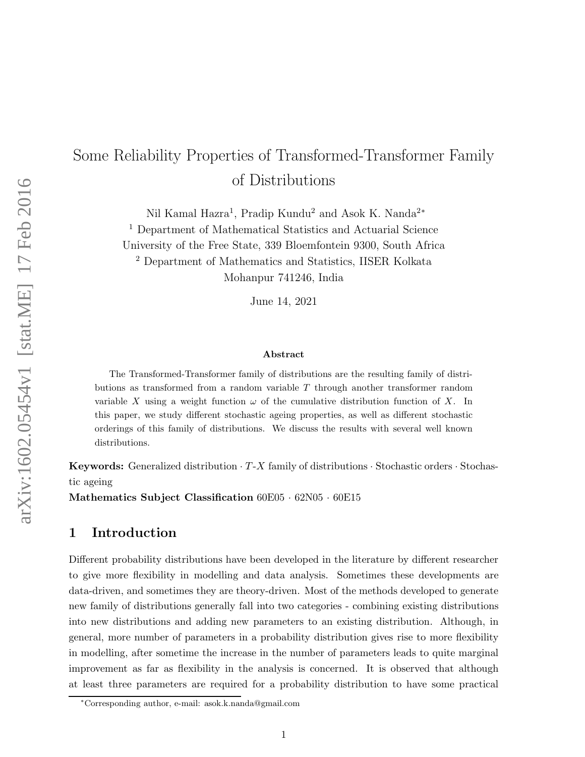# Some Reliability Properties of Transformed-Transformer Family of Distributions

Nil Kamal Hazra<sup>1</sup>, Pradip Kundu<sup>2</sup> and Asok K. Nanda<sup>2</sup>\*

<sup>1</sup> Department of Mathematical Statistics and Actuarial Science

University of the Free State, 339 Bloemfontein 9300, South Africa

<sup>2</sup> Department of Mathematics and Statistics, IISER Kolkata

Mohanpur 741246, India

June 14, 2021

#### Abstract

The Transformed-Transformer family of distributions are the resulting family of distributions as transformed from a random variable T through another transformer random variable X using a weight function  $\omega$  of the cumulative distribution function of X. In this paper, we study different stochastic ageing properties, as well as different stochastic orderings of this family of distributions. We discuss the results with several well known distributions.

**Keywords:** Generalized distribution  $\cdot T$ -X family of distributions  $\cdot$  Stochastic orders  $\cdot$  Stochastic ageing

Mathematics Subject Classification  $60E05 \cdot 62N05 \cdot 60E15$ 

## 1 Introduction

Different probability distributions have been developed in the literature by different researcher to give more flexibility in modelling and data analysis. Sometimes these developments are data-driven, and sometimes they are theory-driven. Most of the methods developed to generate new family of distributions generally fall into two categories - combining existing distributions into new distributions and adding new parameters to an existing distribution. Although, in general, more number of parameters in a probability distribution gives rise to more flexibility in modelling, after sometime the increase in the number of parameters leads to quite marginal improvement as far as flexibility in the analysis is concerned. It is observed that although at least three parameters are required for a probability distribution to have some practical

<sup>∗</sup>Corresponding author, e-mail: asok.k.nanda@gmail.com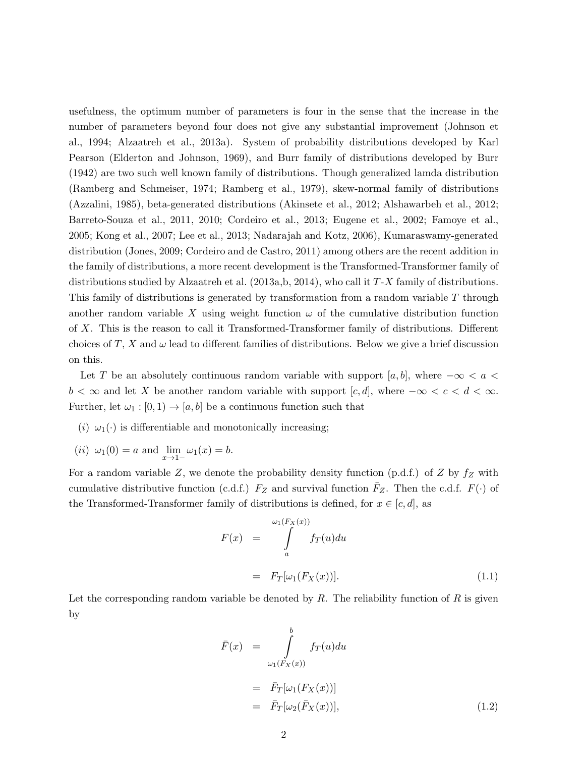usefulness, the optimum number of parameters is four in the sense that the increase in the number of parameters beyond four does not give any substantial improvement (Johnson et al., 1994; Alzaatreh et al., 2013a). System of probability distributions developed by Karl Pearson (Elderton and Johnson, 1969), and Burr family of distributions developed by Burr (1942) are two such well known family of distributions. Though generalized lamda distribution (Ramberg and Schmeiser, 1974; Ramberg et al., 1979), skew-normal family of distributions (Azzalini, 1985), beta-generated distributions (Akinsete et al., 2012; Alshawarbeh et al., 2012; Barreto-Souza et al., 2011, 2010; Cordeiro et al., 2013; Eugene et al., 2002; Famoye et al., 2005; Kong et al., 2007; Lee et al., 2013; Nadarajah and Kotz, 2006), Kumaraswamy-generated distribution (Jones, 2009; Cordeiro and de Castro, 2011) among others are the recent addition in the family of distributions, a more recent development is the Transformed-Transformer family of distributions studied by Alzaatreh et al. (2013a,b, 2014), who call it T-X family of distributions. This family of distributions is generated by transformation from a random variable T through another random variable X using weight function  $\omega$  of the cumulative distribution function of X. This is the reason to call it Transformed-Transformer family of distributions. Different choices of T, X and  $\omega$  lead to different families of distributions. Below we give a brief discussion on this.

Let T be an absolutely continuous random variable with support [a, b], where  $-\infty < a <$  $b < \infty$  and let X be another random variable with support  $[c, d]$ , where  $-\infty < c < d < \infty$ . Further, let  $\omega_1 : [0,1) \to [a,b]$  be a continuous function such that

- (i)  $\omega_1(\cdot)$  is differentiable and monotonically increasing;
- (*ii*)  $\omega_1(0) = a$  and  $\lim_{x \to 1^-} \omega_1(x) = b$ .

For a random variable Z, we denote the probability density function (p.d.f.) of Z by  $f_Z$  with cumulative distributive function (c.d.f.)  $F_Z$  and survival function  $\overline{F}_Z$ . Then the c.d.f.  $F(\cdot)$  of the Transformed-Transformer family of distributions is defined, for  $x \in [c, d]$ , as

$$
F(x) = \int_{a}^{\omega_1(F_X(x))} f_T(u) du
$$
  
=  $F_T[\omega_1(F_X(x))].$  (1.1)

Let the corresponding random variable be denoted by  $R$ . The reliability function of  $R$  is given by

$$
\begin{aligned}\n\bar{F}(x) &= \int_{\omega_1(F_X(x))}^b f_T(u) du \\
&= \bar{F}_T[\omega_1(F_X(x))] \\
&= \bar{F}_T[\omega_2(\bar{F}_X(x))],\n\end{aligned} \tag{1.2}
$$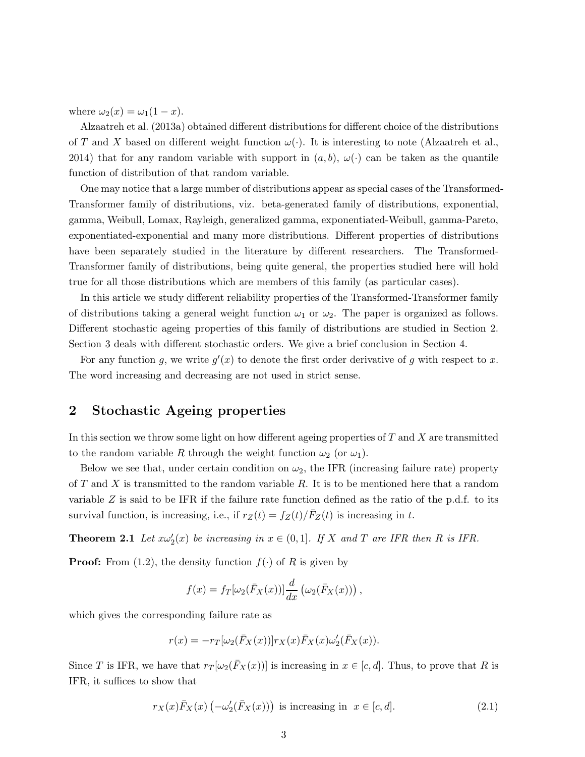where  $\omega_2(x) = \omega_1(1-x)$ .

Alzaatreh et al. (2013a) obtained different distributions for different choice of the distributions of T and X based on different weight function  $\omega(\cdot)$ . It is interesting to note (Alzaatreh et al., 2014) that for any random variable with support in  $(a, b)$ ,  $\omega(\cdot)$  can be taken as the quantile function of distribution of that random variable.

One may notice that a large number of distributions appear as special cases of the Transformed-Transformer family of distributions, viz. beta-generated family of distributions, exponential, gamma, Weibull, Lomax, Rayleigh, generalized gamma, exponentiated-Weibull, gamma-Pareto, exponentiated-exponential and many more distributions. Different properties of distributions have been separately studied in the literature by different researchers. The Transformed-Transformer family of distributions, being quite general, the properties studied here will hold true for all those distributions which are members of this family (as particular cases).

In this article we study different reliability properties of the Transformed-Transformer family of distributions taking a general weight function  $\omega_1$  or  $\omega_2$ . The paper is organized as follows. Different stochastic ageing properties of this family of distributions are studied in Section 2. Section 3 deals with different stochastic orders. We give a brief conclusion in Section 4.

For any function g, we write  $g'(x)$  to denote the first order derivative of g with respect to x. The word increasing and decreasing are not used in strict sense.

## 2 Stochastic Ageing properties

In this section we throw some light on how different ageing properties of  $T$  and  $X$  are transmitted to the random variable R through the weight function  $\omega_2$  (or  $\omega_1$ ).

Below we see that, under certain condition on  $\omega_2$ , the IFR (increasing failure rate) property of T and X is transmitted to the random variable R. It is to be mentioned here that a random variable  $Z$  is said to be IFR if the failure rate function defined as the ratio of the p.d.f. to its survival function, is increasing, i.e., if  $r_Z(t) = f_Z(t)/\bar{F}_Z(t)$  is increasing in t.

**Theorem 2.1** Let  $x\omega'_2(x)$  be increasing in  $x \in (0,1]$ . If X and T are IFR then R is IFR.

**Proof:** From (1.2), the density function  $f(\cdot)$  of R is given by

$$
f(x) = f_T[\omega_2(\bar{F}_X(x))] \frac{d}{dx} (\omega_2(\bar{F}_X(x))) ,
$$

which gives the corresponding failure rate as

$$
r(x) = -r_T[\omega_2(\bar{F}_X(x))]r_X(x)\bar{F}_X(x)\omega'_2(\bar{F}_X(x)).
$$

Since T is IFR, we have that  $r_T[\omega_2(F_X(x))]$  is increasing in  $x \in [c, d]$ . Thus, to prove that R is IFR, it suffices to show that

$$
r_X(x)\bar{F}_X(x)\left(-\omega_2'(\bar{F}_X(x))\right) \text{ is increasing in } x \in [c, d].\tag{2.1}
$$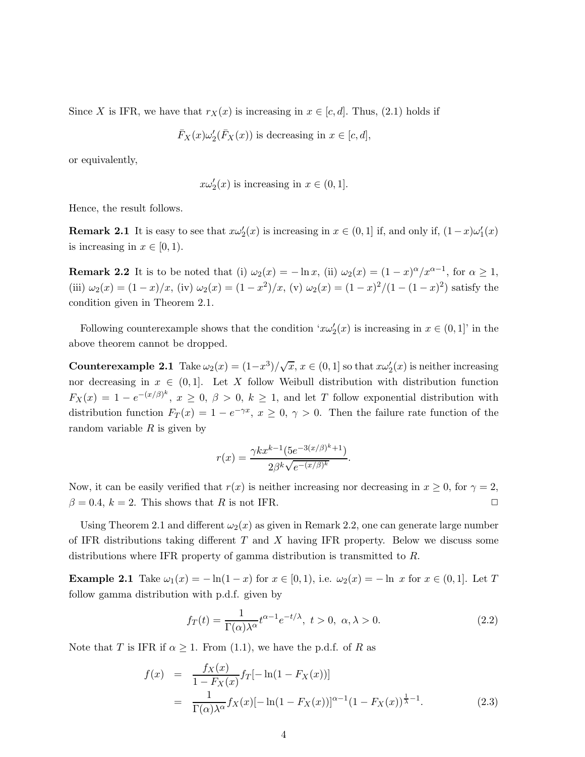Since X is IFR, we have that  $r_X(x)$  is increasing in  $x \in [c, d]$ . Thus, (2.1) holds if

$$
\bar{F}_X(x)\omega'_2(\bar{F}_X(x))
$$
 is decreasing in  $x \in [c, d]$ ,

or equivalently,

$$
x\omega'_2(x)
$$
 is increasing in  $x \in (0,1]$ .

Hence, the result follows.

**Remark 2.1** It is easy to see that  $x\omega'_2(x)$  is increasing in  $x \in (0,1]$  if, and only if,  $(1-x)\omega'_1(x)$ is increasing in  $x \in [0, 1)$ .

**Remark 2.2** It is to be noted that (i)  $\omega_2(x) = -\ln x$ , (ii)  $\omega_2(x) = (1-x)^\alpha/x^{\alpha-1}$ , for  $\alpha \ge 1$ , (iii)  $\omega_2(x) = (1-x)/x$ , (iv)  $\omega_2(x) = (1-x^2)/x$ , (v)  $\omega_2(x) = (1-x)^2/(1-(1-x)^2)$  satisfy the condition given in Theorem 2.1.

Following counterexample shows that the condition ' $x\omega'_2(x)$  is increasing in  $x \in (0,1]$ ' in the above theorem cannot be dropped.

**Counterexample 2.1** Take  $\omega_2(x) = (1-x^3)/\sqrt{x}$ ,  $x \in (0,1]$  so that  $x\omega'_2(x)$  is neither increasing nor decreasing in  $x \in (0,1]$ . Let X follow Weibull distribution with distribution function  $F_X(x) = 1 - e^{-(x/\beta)^k}, x \ge 0, \beta > 0, k \ge 1$ , and let T follow exponential distribution with distribution function  $F_T(x) = 1 - e^{-\gamma x}, x \ge 0, \gamma > 0$ . Then the failure rate function of the random variable  $R$  is given by

$$
r(x) = \frac{\gamma k x^{k-1} (5e^{-3(x/\beta)^k + 1})}{2\beta^k \sqrt{e^{-(x/\beta)^k}}}.
$$

Now, it can be easily verified that  $r(x)$  is neither increasing nor decreasing in  $x \ge 0$ , for  $\gamma = 2$ ,  $\beta = 0.4, k = 2$ . This shows that R is not IFR.

Using Theorem 2.1 and different  $\omega_2(x)$  as given in Remark 2.2, one can generate large number of IFR distributions taking different  $T$  and  $X$  having IFR property. Below we discuss some distributions where IFR property of gamma distribution is transmitted to R.

**Example 2.1** Take  $\omega_1(x) = -\ln(1-x)$  for  $x \in [0,1)$ , i.e.  $\omega_2(x) = -\ln x$  for  $x \in (0,1]$ . Let T follow gamma distribution with p.d.f. given by

$$
f_T(t) = \frac{1}{\Gamma(\alpha)\lambda^{\alpha}} t^{\alpha - 1} e^{-t/\lambda}, \ t > 0, \ \alpha, \lambda > 0.
$$
 (2.2)

Note that T is IFR if  $\alpha \geq 1$ . From (1.1), we have the p.d.f. of R as

$$
f(x) = \frac{f_X(x)}{1 - F_X(x)} f_T[-\ln(1 - F_X(x))]
$$
  
= 
$$
\frac{1}{\Gamma(\alpha)\lambda^{\alpha}} f_X(x) [-\ln(1 - F_X(x))]^{\alpha - 1} (1 - F_X(x))^{\frac{1}{\lambda} - 1}.
$$
 (2.3)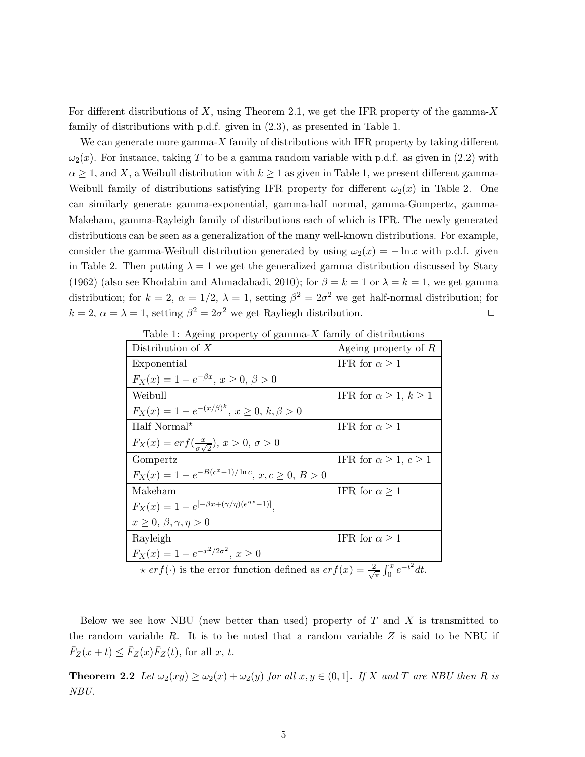For different distributions of X, using Theorem 2.1, we get the IFR property of the gamma-X family of distributions with p.d.f. given in (2.3), as presented in Table 1.

We can generate more gamma- $X$  family of distributions with IFR property by taking different  $\omega_2(x)$ . For instance, taking T to be a gamma random variable with p.d.f. as given in (2.2) with  $\alpha \geq 1$ , and X, a Weibull distribution with  $k \geq 1$  as given in Table 1, we present different gamma-Weibull family of distributions satisfying IFR property for different  $\omega_2(x)$  in Table 2. One can similarly generate gamma-exponential, gamma-half normal, gamma-Gompertz, gamma-Makeham, gamma-Rayleigh family of distributions each of which is IFR. The newly generated distributions can be seen as a generalization of the many well-known distributions. For example, consider the gamma-Weibull distribution generated by using  $\omega_2(x) = -\ln x$  with p.d.f. given in Table 2. Then putting  $\lambda = 1$  we get the generalized gamma distribution discussed by Stacy (1962) (also see Khodabin and Ahmadabadi, 2010); for  $\beta = k = 1$  or  $\lambda = k = 1$ , we get gamma distribution; for  $k = 2$ ,  $\alpha = 1/2$ ,  $\lambda = 1$ , setting  $\beta^2 = 2\sigma^2$  we get half-normal distribution; for  $k = 2, \, \alpha = \lambda = 1$ , setting  $\beta^2 = 2\sigma^2$  we get Rayliegh distribution.

Table 1: Ageing property of gamma- $X$  family of distributions

| Distribution of $X$                                                                                        | Ageing property of $R$            |
|------------------------------------------------------------------------------------------------------------|-----------------------------------|
| Exponential                                                                                                | IFR for $\alpha \geq 1$           |
| $F_X(x) = 1 - e^{-\beta x}, x \ge 0, \beta > 0$                                                            |                                   |
| Weibull                                                                                                    | IFR for $\alpha \geq 1, k \geq 1$ |
| $F_X(x) = 1 - e^{-(x/\beta)^k}, x \ge 0, k, \beta > 0$                                                     |                                   |
| Half Normal*                                                                                               | IFR for $\alpha \geq 1$           |
| $F_X(x) = erf(\frac{x}{\sigma \sqrt{2}}), x > 0, \sigma > 0$                                               |                                   |
| Gompertz                                                                                                   | IFR for $\alpha \geq 1, c \geq 1$ |
| $F_X(x) = 1 - e^{-B(c^x - 1)/\ln c}, x, c \ge 0, B > 0$                                                    |                                   |
| Makeham                                                                                                    | IFR for $\alpha \geq 1$           |
| $F_X(x) = 1 - e^{[-\beta x + (\gamma/\eta)(e^{\eta x} - 1)]}.$                                             |                                   |
| $x \geq 0, \beta, \gamma, \eta > 0$                                                                        |                                   |
| Rayleigh                                                                                                   | IFR for $\alpha \geq 1$           |
| $F_X(x) = 1 - e^{-x^2/2\sigma^2}, x \ge 0$                                                                 |                                   |
| $\star erf(\cdot)$ is the error function defined as $erf(x) = \frac{2}{\sqrt{\pi}} \int_0^x e^{-t^2} dt$ . |                                   |

Below we see how NBU (new better than used) property of  $T$  and  $X$  is transmitted to the random variable  $R$ . It is to be noted that a random variable  $Z$  is said to be NBU if  $\bar{F}_Z(x+t) \leq \bar{F}_Z(x)\bar{F}_Z(t)$ , for all x, t.

**Theorem 2.2** Let  $\omega_2(xy) \geq \omega_2(x) + \omega_2(y)$  for all  $x, y \in (0, 1]$ . If X and T are NBU then R is *NBU.*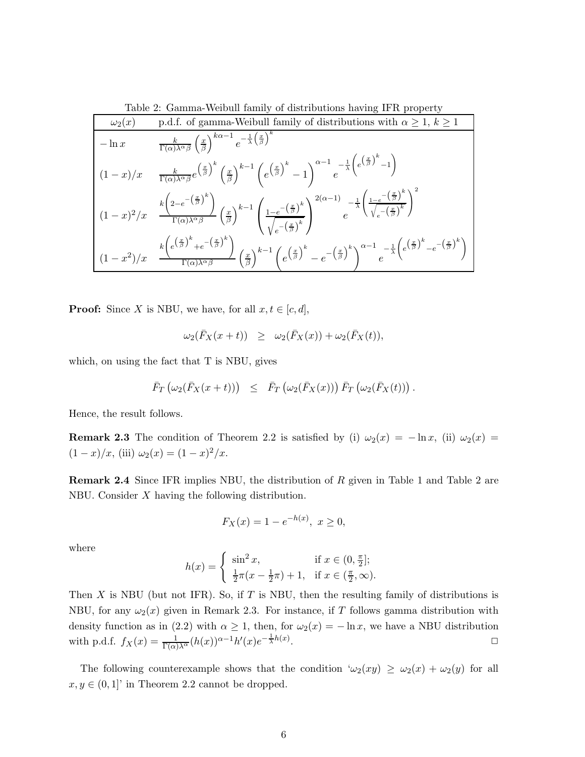Table 2: Gamma-Weibull family of distributions having IFR property

| $\omega_2(x)$ | p.d.f. of gamma-Weibull family of distributions with $\alpha \geq 1, k \geq 1$                                                                                                                                                                                                                                                                                                                                                           |
|---------------|------------------------------------------------------------------------------------------------------------------------------------------------------------------------------------------------------------------------------------------------------------------------------------------------------------------------------------------------------------------------------------------------------------------------------------------|
| $-\ln x$      | $\frac{k}{\Gamma(\alpha)\lambda^{\alpha}\beta} \left(\frac{x}{\beta}\right)^{k\alpha-1} e^{-\frac{1}{\lambda}\left(\frac{x}{\beta}\right)^k}$                                                                                                                                                                                                                                                                                            |
| $(1-x)/x$     | $\frac{k}{\Gamma(\alpha) \lambda^{\alpha}\beta}e^{\left(\frac{x}{\beta}\right)^k}\left(\frac{x}{\beta}\right)^{k-1}\left(e^{\left(\frac{x}{\beta}\right)^k}-1\right)^{\alpha-1}e^{-\frac{1}{\lambda}\left(e^{\left(\frac{x}{\beta}\right)^k}-1\right)}$                                                                                                                                                                                  |
|               | $\left( (1-x)^2/x - \frac{k\left(2-e^{-\left(\frac{x}{\beta}\right)^k}\right)}{\Gamma(\alpha)\lambda^{\alpha}\beta} \left(\frac{x}{\beta}\right)^{k-1} \left( \frac{1-e^{-\left(\frac{x}{\beta}\right)^k}}{\sqrt{e^{-\left(\frac{x}{\beta}\right)^k}}}\right)^{2(\alpha-1)} e^{-\frac{1}{\lambda}\left( \frac{1-e^{-\left(\frac{x}{\beta}\right)^k}}{\sqrt{e^{-\left(\frac{x}{\beta}\right)^k}}}\right)^2}$                              |
|               | $\left( (1-x^2)/x \right. \left. \frac{k \left(e^{\left(\frac{x}{\beta}\right)^k}+e^{-\left(\frac{x}{\beta}\right)^k}\right)}{\Gamma(\alpha) \lambda^{\alpha} \beta} \left(\frac{x}{\beta}\right)^{k-1} \left(e^{\left(\frac{x}{\beta}\right)^k}-e^{-\left(\frac{x}{\beta}\right)^k}\right)^{\alpha-1} e^{\displaystyle -\frac{1}{\lambda} \left(e^{\left(\frac{x}{\beta}\right)^k}-e^{-\left(\frac{x}{\beta}\right)^k}\right)} \right.$ |

**Proof:** Since X is NBU, we have, for all  $x, t \in [c, d]$ ,

$$
\omega_2(\bar{F}_X(x+t)) \geq \omega_2(\bar{F}_X(x)) + \omega_2(\bar{F}_X(t)),
$$

which, on using the fact that T is NBU, gives

$$
\bar{F}_T\left(\omega_2(\bar{F}_X(x+t))\right) \leq \bar{F}_T\left(\omega_2(\bar{F}_X(x))\right)\bar{F}_T\left(\omega_2(\bar{F}_X(t))\right).
$$

Hence, the result follows.

**Remark 2.3** The condition of Theorem 2.2 is satisfied by (i)  $\omega_2(x) = -\ln x$ , (ii)  $\omega_2(x) =$  $(1-x)/x$ , (iii)  $\omega_2(x) = (1-x)^2/x$ .

Remark 2.4 Since IFR implies NBU, the distribution of R given in Table 1 and Table 2 are NBU. Consider X having the following distribution.

$$
F_X(x) = 1 - e^{-h(x)}, \ x \ge 0,
$$

where

$$
h(x) = \begin{cases} \sin^2 x, & \text{if } x \in (0, \frac{\pi}{2}];\\ \frac{1}{2}\pi(x - \frac{1}{2}\pi) + 1, & \text{if } x \in (\frac{\pi}{2}, \infty). \end{cases}
$$

Then X is NBU (but not IFR). So, if T is NBU, then the resulting family of distributions is NBU, for any  $\omega_2(x)$  given in Remark 2.3. For instance, if T follows gamma distribution with density function as in (2.2) with  $\alpha \geq 1$ , then, for  $\omega_2(x) = -\ln x$ , we have a NBU distribution with p.d.f.  $f_X(x) = \frac{1}{\Gamma(\alpha)\lambda^{\alpha}} (h(x))^{\alpha-1} h'(x) e^{-\frac{1}{\lambda}h(x)}$ . and the contract of the contract of the contract of the contract of the contract of the contract of the contract of the contract of the contract of the contract of the contract of the contract of the contract of the cont

The following counterexample shows that the condition  $\omega_2(xy) \geq \omega_2(x) + \omega_2(y)$  for all  $x, y \in (0, 1]$ ' in Theorem 2.2 cannot be dropped.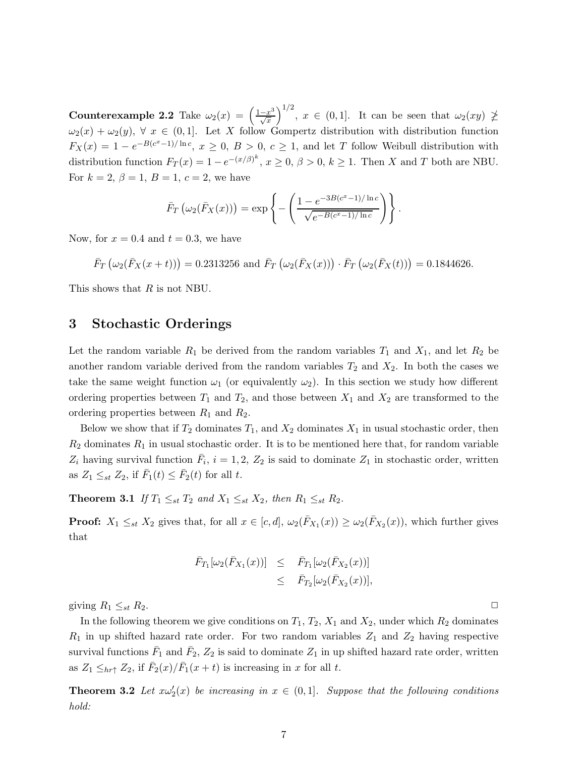Counterexample 2.2 Take  $\omega_2(x) = \left(\frac{1-x^3}{\sqrt{x}}\right)^2$  $\left(\frac{-x^3}{\sqrt{x}}\right)^{1/2}$ ,  $x \in (0,1]$ . It can be seen that  $\omega_2(xy) \not\geq$  $\omega_2(x) + \omega_2(y)$ ,  $\forall x \in (0,1]$ . Let X follow Gompertz distribution with distribution function  $F_X(x) = 1 - e^{-B(c^x-1)/\ln c}$ ,  $x \ge 0$ ,  $B > 0$ ,  $c \ge 1$ , and let T follow Weibull distribution with distribution function  $F_T(x) = 1 - e^{-(x/\beta)^k}$ ,  $x \ge 0$ ,  $\beta > 0$ ,  $k \ge 1$ . Then X and T both are NBU. For  $k = 2, \beta = 1, B = 1, c = 2$ , we have

$$
\bar{F}_T\left(\omega_2(\bar{F}_X(x))\right) = \exp\left\{-\left(\frac{1 - e^{-3B(c^x - 1)/\ln c}}{\sqrt{e^{-B(c^x - 1)/\ln c}}}\right)\right\}.
$$

Now, for  $x = 0.4$  and  $t = 0.3$ , we have

$$
\bar{F}_T\left(\omega_2(\bar{F}_X(x+t))\right) = 0.2313256
$$
 and  $\bar{F}_T\left(\omega_2(\bar{F}_X(x))\right) \cdot \bar{F}_T\left(\omega_2(\bar{F}_X(t))\right) = 0.1844626.$ 

This shows that R is not NBU.

### 3 Stochastic Orderings

Let the random variable  $R_1$  be derived from the random variables  $T_1$  and  $X_1$ , and let  $R_2$  be another random variable derived from the random variables  $T_2$  and  $X_2$ . In both the cases we take the same weight function  $\omega_1$  (or equivalently  $\omega_2$ ). In this section we study how different ordering properties between  $T_1$  and  $T_2$ , and those between  $X_1$  and  $X_2$  are transformed to the ordering properties between  $R_1$  and  $R_2$ .

Below we show that if  $T_2$  dominates  $T_1$ , and  $X_2$  dominates  $X_1$  in usual stochastic order, then  $R_2$  dominates  $R_1$  in usual stochastic order. It is to be mentioned here that, for random variable  $Z_i$  having survival function  $\bar{F}_i$ ,  $i = 1, 2, Z_2$  is said to dominate  $Z_1$  in stochastic order, written as  $Z_1 \leq_{st} Z_2$ , if  $\bar{F}_1(t) \leq \bar{F}_2(t)$  for all t.

**Theorem 3.1** *If*  $T_1 \leq_{st} T_2$  *and*  $X_1 \leq_{st} X_2$ *, then*  $R_1 \leq_{st} R_2$ *.* 

**Proof:**  $X_1 \leq_{st} X_2$  gives that, for all  $x \in [c, d]$ ,  $\omega_2(\overline{F}_{X_1}(x)) \geq \omega_2(\overline{F}_{X_2}(x))$ , which further gives that

$$
\begin{array}{rcl}\n\bar{F}_{T_1}[\omega_2(\bar{F}_{X_1}(x))] & \leq & \bar{F}_{T_1}[\omega_2(\bar{F}_{X_2}(x))] \\
& \leq & \bar{F}_{T_2}[\omega_2(\bar{F}_{X_2}(x))],\n\end{array}
$$

giving  $R_1 \leq_{st} R_2$ .

In the following theorem we give conditions on  $T_1$ ,  $T_2$ ,  $X_1$  and  $X_2$ , under which  $R_2$  dominates  $R_1$  in up shifted hazard rate order. For two random variables  $Z_1$  and  $Z_2$  having respective survival functions  $\bar{F}_1$  and  $\bar{F}_2$ ,  $Z_2$  is said to dominate  $Z_1$  in up shifted hazard rate order, written as  $Z_1 \leq_{hr\uparrow} Z_2$ , if  $\bar{F}_2(x)/\bar{F}_1(x+t)$  is increasing in x for all t.

**Theorem 3.2** Let  $x\omega'_2(x)$  be increasing in  $x \in (0,1]$ . Suppose that the following conditions *hold:*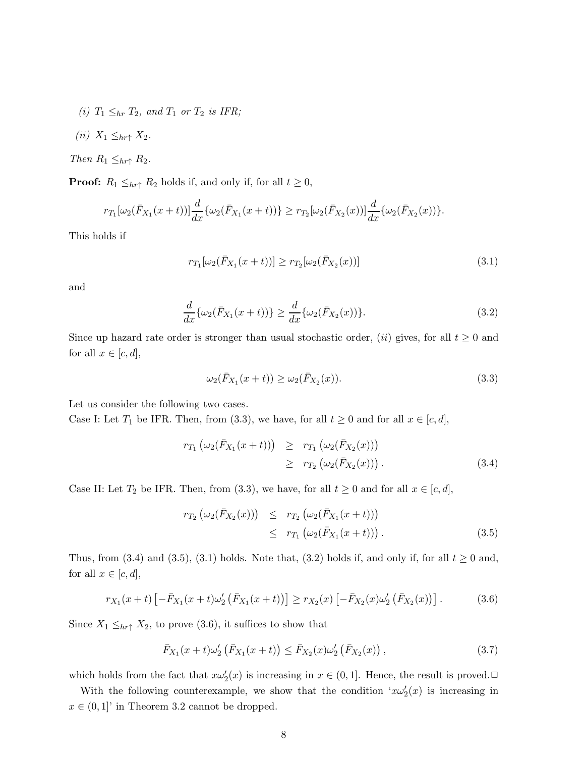- *(i)*  $T_1 \leq_{hr} T_2$ *, and*  $T_1$  *or*  $T_2$  *is IFR;*
- *(ii)*  $X_1 \leq_{hr\uparrow} X_2$ .

*Then*  $R_1 \leq_{hr\uparrow} R_2$ *.* 

**Proof:**  $R_1 \leq_{hr\uparrow} R_2$  holds if, and only if, for all  $t \geq 0$ ,

$$
r_{T_1}[\omega_2(\bar{F}_{X_1}(x+t))]\frac{d}{dx}\{\omega_2(\bar{F}_{X_1}(x+t))\} \geq r_{T_2}[\omega_2(\bar{F}_{X_2}(x))] \frac{d}{dx}\{\omega_2(\bar{F}_{X_2}(x))\}.
$$

This holds if

$$
r_{T_1}[\omega_2(\bar{F}_{X_1}(x+t))] \ge r_{T_2}[\omega_2(\bar{F}_{X_2}(x))]
$$
\n(3.1)

and

$$
\frac{d}{dx}\{\omega_2(\bar{F}_{X_1}(x+t))\} \ge \frac{d}{dx}\{\omega_2(\bar{F}_{X_2}(x))\}.
$$
\n(3.2)

Since up hazard rate order is stronger than usual stochastic order,  $(ii)$  gives, for all  $t \geq 0$  and for all  $x \in [c, d]$ ,

$$
\omega_2(\bar{F}_{X_1}(x+t)) \ge \omega_2(\bar{F}_{X_2}(x)).
$$
\n(3.3)

Let us consider the following two cases.

Case I: Let  $T_1$  be IFR. Then, from (3.3), we have, for all  $t \ge 0$  and for all  $x \in [c, d]$ ,

$$
r_{T_1}(\omega_2(\bar{F}_{X_1}(x+t))) \geq r_{T_1}(\omega_2(\bar{F}_{X_2}(x))) \geq r_{T_2}(\omega_2(\bar{F}_{X_2}(x))).
$$
\n(3.4)

Case II: Let  $T_2$  be IFR. Then, from (3.3), we have, for all  $t \ge 0$  and for all  $x \in [c, d]$ ,

$$
r_{T_2}(\omega_2(\bar{F}_{X_2}(x))) \leq r_{T_2}(\omega_2(\bar{F}_{X_1}(x+t))) \leq r_{T_1}(\omega_2(\bar{F}_{X_1}(x+t))).
$$
\n(3.5)

Thus, from (3.4) and (3.5), (3.1) holds. Note that, (3.2) holds if, and only if, for all  $t \ge 0$  and, for all  $x \in [c, d]$ ,

$$
r_{X_1}(x+t)\left[-\bar{F}_{X_1}(x+t)\omega_2'\left(\bar{F}_{X_1}(x+t)\right)\right] \ge r_{X_2}(x)\left[-\bar{F}_{X_2}(x)\omega_2'\left(\bar{F}_{X_2}(x)\right)\right].\tag{3.6}
$$

Since  $X_1 \leq_{hr\uparrow} X_2$ , to prove (3.6), it suffices to show that

$$
\bar{F}_{X_1}(x+t)\omega_2'\left(\bar{F}_{X_1}(x+t)\right) \le \bar{F}_{X_2}(x)\omega_2'\left(\bar{F}_{X_2}(x)\right),\tag{3.7}
$$

which holds from the fact that  $x\omega'_2(x)$  is increasing in  $x \in (0,1]$ . Hence, the result is proved.

With the following counterexample, we show that the condition  $x\omega'_2(x)$  is increasing in  $x \in (0,1]$ ' in Theorem 3.2 cannot be dropped.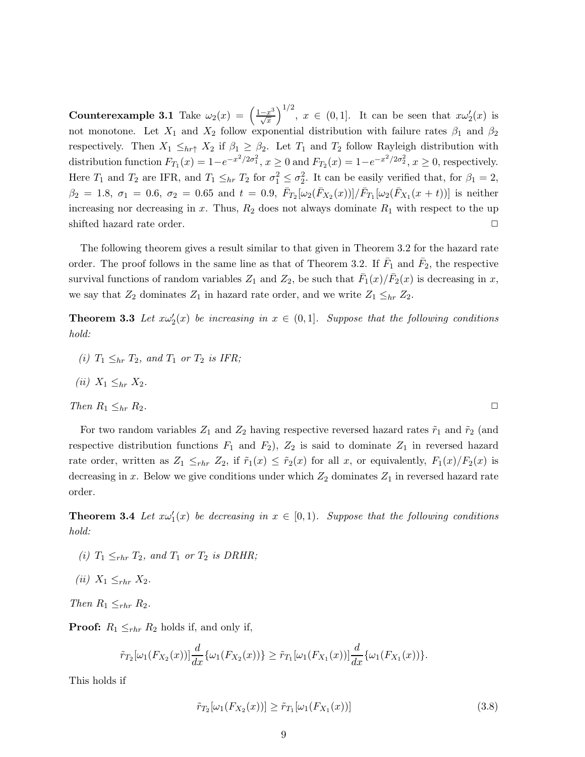Counterexample 3.1 Take  $\omega_2(x) = \left(\frac{1-x^3}{\sqrt{x}}\right)$  $\left(\frac{-x^3}{\sqrt{x}}\right)^{1/2}$ ,  $x \in (0,1]$ . It can be seen that  $x\omega_2'(x)$  is not monotone. Let  $X_1$  and  $X_2$  follow exponential distribution with failure rates  $\beta_1$  and  $\beta_2$ respectively. Then  $X_1 \leq_{hr\uparrow} X_2$  if  $\beta_1 \geq \beta_2$ . Let  $T_1$  and  $T_2$  follow Rayleigh distribution with distribution function  $F_{T_1}(x) = 1 - e^{-x^2/2\sigma_1^2}$ ,  $x \ge 0$  and  $F_{T_2}(x) = 1 - e^{-x^2/2\sigma_2^2}$ ,  $x \ge 0$ , respectively. Here  $T_1$  and  $T_2$  are IFR, and  $T_1 \leq_{hr} T_2$  for  $\sigma_1^2 \leq \sigma_2^2$ . It can be easily verified that, for  $\beta_1 = 2$ ,  $\beta_2 = 1.8, \sigma_1 = 0.6, \sigma_2 = 0.65 \text{ and } t = 0.9, \bar{F}_{T_2}[\omega_2(\bar{F}_{X_2}(x))] / \bar{F}_{T_1}[\omega_2(\bar{F}_{X_1}(x+t))]$  is neither increasing nor decreasing in x. Thus,  $R_2$  does not always dominate  $R_1$  with respect to the up shifted hazard rate order.  $\Box$ 

The following theorem gives a result similar to that given in Theorem 3.2 for the hazard rate order. The proof follows in the same line as that of Theorem 3.2. If  $\bar{F}_1$  and  $\bar{F}_2$ , the respective survival functions of random variables  $Z_1$  and  $Z_2$ , be such that  $\bar{F}_1(x)/\bar{F}_2(x)$  is decreasing in x, we say that  $Z_2$  dominates  $Z_1$  in hazard rate order, and we write  $Z_1 \leq_{hr} Z_2$ .

**Theorem 3.3** Let  $x\omega'_2(x)$  be increasing in  $x \in (0,1]$ . Suppose that the following conditions *hold:*

*(i)*  $T_1 \leq_{hr} T_2$ *, and*  $T_1$  *or*  $T_2$  *is IFR;* 

$$
(ii) X_1 \leq_{hr} X_2.
$$

Then 
$$
R_1 \leq_{hr} R_2
$$
.

For two random variables  $Z_1$  and  $Z_2$  having respective reversed hazard rates  $\tilde{r}_1$  and  $\tilde{r}_2$  (and respective distribution functions  $F_1$  and  $F_2$ ),  $Z_2$  is said to dominate  $Z_1$  in reversed hazard rate order, written as  $Z_1 \leq_{rhr} Z_2$ , if  $\tilde{r}_1(x) \leq \tilde{r}_2(x)$  for all x, or equivalently,  $F_1(x)/F_2(x)$  is decreasing in x. Below we give conditions under which  $Z_2$  dominates  $Z_1$  in reversed hazard rate order.

**Theorem 3.4** Let  $x\omega'_1(x)$  be decreasing in  $x \in [0,1)$ . Suppose that the following conditions *hold:*

- *(i)*  $T_1 \leq_{rhr} T_2$ *, and*  $T_1$  *or*  $T_2$  *is DRHR;*
- *(ii)*  $X_1 \leq_{rhr} X_2$ .

*Then*  $R_1 \leq_{rhr} R_2$ *.* 

**Proof:**  $R_1 \leq_{rhr} R_2$  holds if, and only if,

$$
\tilde{r}_{T_2}[\omega_1(F_{X_2}(x))] \frac{d}{dx} \{\omega_1(F_{X_2}(x))\} \geq \tilde{r}_{T_1}[\omega_1(F_{X_1}(x))] \frac{d}{dx} \{\omega_1(F_{X_1}(x))\}.
$$

This holds if

$$
\tilde{r}_{T_2}[\omega_1(F_{X_2}(x))] \ge \tilde{r}_{T_1}[\omega_1(F_{X_1}(x))]
$$
\n(3.8)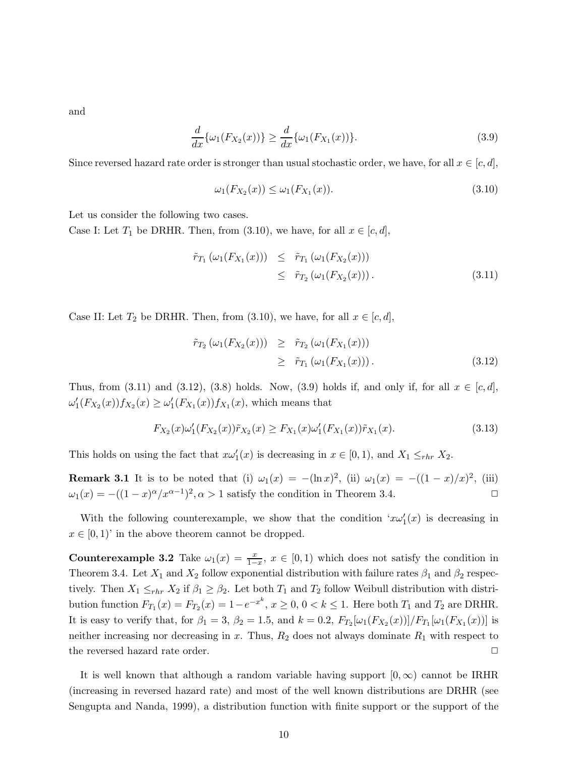and

$$
\frac{d}{dx}\{\omega_1(F_{X_2}(x))\} \ge \frac{d}{dx}\{\omega_1(F_{X_1}(x))\}.
$$
\n(3.9)

Since reversed hazard rate order is stronger than usual stochastic order, we have, for all  $x \in [c, d]$ ,

$$
\omega_1(F_{X_2}(x)) \le \omega_1(F_{X_1}(x)).
$$
\n(3.10)

Let us consider the following two cases.

Case I: Let  $T_1$  be DRHR. Then, from (3.10), we have, for all  $x \in [c, d]$ ,

$$
\tilde{r}_{T_1}(\omega_1(F_{X_1}(x))) \leq \tilde{r}_{T_1}(\omega_1(F_{X_2}(x))) \leq \tilde{r}_{T_2}(\omega_1(F_{X_2}(x))).
$$
\n(3.11)

Case II: Let  $T_2$  be DRHR. Then, from (3.10), we have, for all  $x \in [c, d]$ ,

$$
\tilde{r}_{T_2}(\omega_1(F_{X_2}(x))) \geq \tilde{r}_{T_2}(\omega_1(F_{X_1}(x))) \geq \tilde{r}_{T_1}(\omega_1(F_{X_1}(x))).
$$
\n(3.12)

Thus, from (3.11) and (3.12), (3.8) holds. Now, (3.9) holds if, and only if, for all  $x \in [c, d]$ ,  $\omega_1'(F_{X_2}(x))f_{X_2}(x) \ge \omega_1'(F_{X_1}(x))f_{X_1}(x)$ , which means that

$$
F_{X_2}(x)\omega_1'(F_{X_2}(x))\tilde{r}_{X_2}(x) \ge F_{X_1}(x)\omega_1'(F_{X_1}(x))\tilde{r}_{X_1}(x). \tag{3.13}
$$

This holds on using the fact that  $x\omega'_1(x)$  is decreasing in  $x \in [0,1)$ , and  $X_1 \leq_{rhr} X_2$ .

**Remark 3.1** It is to be noted that (i)  $\omega_1(x) = -(\ln x)^2$ , (ii)  $\omega_1(x) = -((1-x)/x)^2$ , (iii)  $\omega_1(x) = -((1-x)^{\alpha}/x^{\alpha-1})^2, \alpha > 1$  satisfy the condition in Theorem 3.4.

With the following counterexample, we show that the condition  $x\omega'_1(x)$  is decreasing in  $x \in [0, 1)$  in the above theorem cannot be dropped.

**Counterexample 3.2** Take  $\omega_1(x) = \frac{x}{1-x}$ ,  $x \in [0,1)$  which does not satisfy the condition in Theorem 3.4. Let  $X_1$  and  $X_2$  follow exponential distribution with failure rates  $\beta_1$  and  $\beta_2$  respectively. Then  $X_1 \leq_{rhr} X_2$  if  $\beta_1 \geq \beta_2$ . Let both  $T_1$  and  $T_2$  follow Weibull distribution with distribution function  $F_{T_1}(x) = F_{T_2}(x) = 1 - e^{-x^k}, x \ge 0, 0 < k \le 1$ . Here both  $T_1$  and  $T_2$  are DRHR. It is easy to verify that, for  $\beta_1 = 3$ ,  $\beta_2 = 1.5$ , and  $k = 0.2$ ,  $F_{T_2}[\omega_1(F_{X_2}(x))] / F_{T_1}[\omega_1(F_{X_1}(x))]$  is neither increasing nor decreasing in x. Thus,  $R_2$  does not always dominate  $R_1$  with respect to the reversed hazard rate order.  $\Box$ 

It is well known that although a random variable having support  $[0,\infty)$  cannot be IRHR (increasing in reversed hazard rate) and most of the well known distributions are DRHR (see Sengupta and Nanda, 1999), a distribution function with finite support or the support of the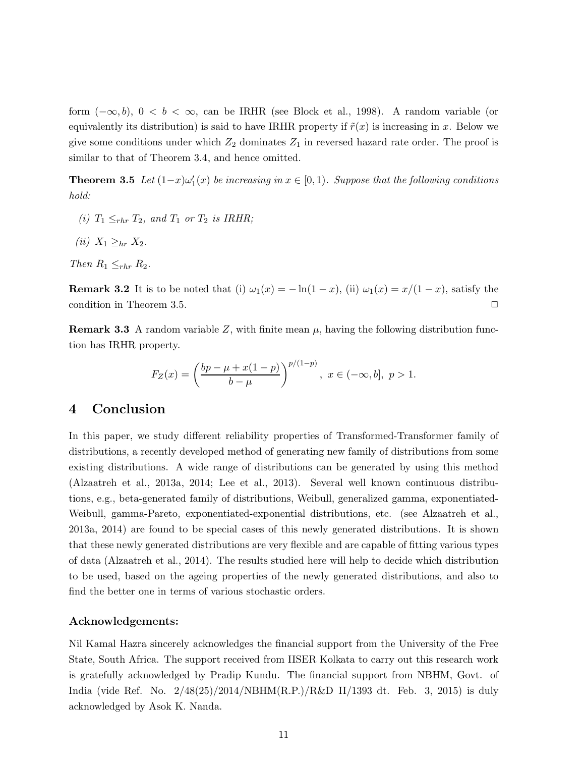form  $(-\infty, b)$ ,  $0 < b < \infty$ , can be IRHR (see Block et al., 1998). A random variable (or equivalently its distribution) is said to have IRHR property if  $\tilde{r}(x)$  is increasing in x. Below we give some conditions under which  $Z_2$  dominates  $Z_1$  in reversed hazard rate order. The proof is similar to that of Theorem 3.4, and hence omitted.

**Theorem 3.5** Let  $(1-x)\omega'_1(x)$  be increasing in  $x \in [0,1)$ . Suppose that the following conditions *hold:*

- *(i)*  $T_1 \leq_{rhr} T_2$ *, and*  $T_1$  *or*  $T_2$  *is IRHR;*
- *(ii)*  $X_1 \geq_{hr} X_2$ .

*Then*  $R_1 \leq_{rhr} R_2$ *.* 

**Remark 3.2** It is to be noted that (i)  $\omega_1(x) = -\ln(1-x)$ , (ii)  $\omega_1(x) = x/(1-x)$ , satisfy the condition in Theorem 3.5.  $\Box$ 

**Remark 3.3** A random variable Z, with finite mean  $\mu$ , having the following distribution function has IRHR property.

$$
F_Z(x) = \left(\frac{bp - \mu + x(1 - p)}{b - \mu}\right)^{p/(1 - p)}, \ x \in (-\infty, b], \ p > 1.
$$

## 4 Conclusion

In this paper, we study different reliability properties of Transformed-Transformer family of distributions, a recently developed method of generating new family of distributions from some existing distributions. A wide range of distributions can be generated by using this method (Alzaatreh et al., 2013a, 2014; Lee et al., 2013). Several well known continuous distributions, e.g., beta-generated family of distributions, Weibull, generalized gamma, exponentiated-Weibull, gamma-Pareto, exponentiated-exponential distributions, etc. (see Alzaatreh et al., 2013a, 2014) are found to be special cases of this newly generated distributions. It is shown that these newly generated distributions are very flexible and are capable of fitting various types of data (Alzaatreh et al., 2014). The results studied here will help to decide which distribution to be used, based on the ageing properties of the newly generated distributions, and also to find the better one in terms of various stochastic orders.

#### Acknowledgements:

Nil Kamal Hazra sincerely acknowledges the financial support from the University of the Free State, South Africa. The support received from IISER Kolkata to carry out this research work is gratefully acknowledged by Pradip Kundu. The financial support from NBHM, Govt. of India (vide Ref. No. 2/48(25)/2014/NBHM(R.P.)/R&D II/1393 dt. Feb. 3, 2015) is duly acknowledged by Asok K. Nanda.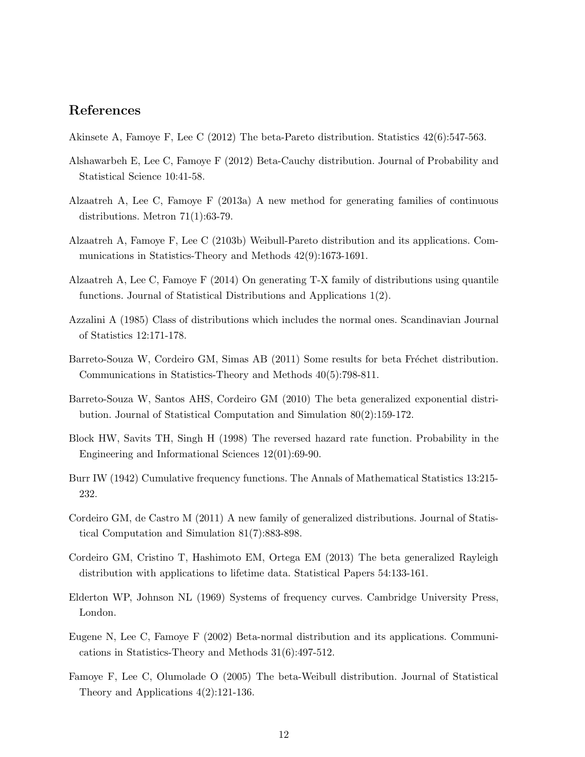## References

- Akinsete A, Famoye F, Lee C (2012) The beta-Pareto distribution. Statistics 42(6):547-563.
- Alshawarbeh E, Lee C, Famoye F (2012) Beta-Cauchy distribution. Journal of Probability and Statistical Science 10:41-58.
- Alzaatreh A, Lee C, Famoye F (2013a) A new method for generating families of continuous distributions. Metron 71(1):63-79.
- Alzaatreh A, Famoye F, Lee C (2103b) Weibull-Pareto distribution and its applications. Communications in Statistics-Theory and Methods 42(9):1673-1691.
- Alzaatreh A, Lee C, Famoye F (2014) On generating T-X family of distributions using quantile functions. Journal of Statistical Distributions and Applications 1(2).
- Azzalini A (1985) Class of distributions which includes the normal ones. Scandinavian Journal of Statistics 12:171-178.
- Barreto-Souza W, Cordeiro GM, Simas AB (2011) Some results for beta Fréchet distribution. Communications in Statistics-Theory and Methods 40(5):798-811.
- Barreto-Souza W, Santos AHS, Cordeiro GM (2010) The beta generalized exponential distribution. Journal of Statistical Computation and Simulation 80(2):159-172.
- Block HW, Savits TH, Singh H (1998) The reversed hazard rate function. Probability in the Engineering and Informational Sciences 12(01):69-90.
- Burr IW (1942) Cumulative frequency functions. The Annals of Mathematical Statistics 13:215- 232.
- Cordeiro GM, de Castro M (2011) A new family of generalized distributions. Journal of Statistical Computation and Simulation 81(7):883-898.
- Cordeiro GM, Cristino T, Hashimoto EM, Ortega EM (2013) The beta generalized Rayleigh distribution with applications to lifetime data. Statistical Papers 54:133-161.
- Elderton WP, Johnson NL (1969) Systems of frequency curves. Cambridge University Press, London.
- Eugene N, Lee C, Famoye F (2002) Beta-normal distribution and its applications. Communications in Statistics-Theory and Methods 31(6):497-512.
- Famoye F, Lee C, Olumolade O (2005) The beta-Weibull distribution. Journal of Statistical Theory and Applications 4(2):121-136.